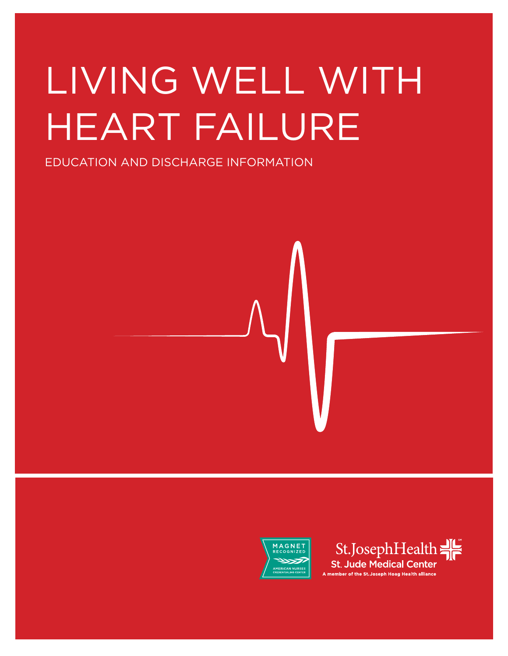# LIVING WELL WITH HEART FAILURE

EDUCATION AND DISCHARGE INFORMATION



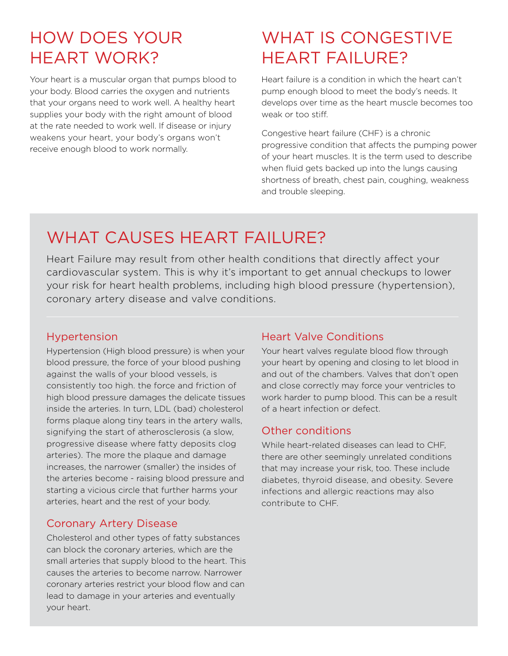## HOW DOES YOUR HEART WORK?

Your heart is a muscular organ that pumps blood to your body. Blood carries the oxygen and nutrients that your organs need to work well. A healthy heart supplies your body with the right amount of blood at the rate needed to work well. If disease or injury weakens your heart, your body's organs won't receive enough blood to work normally.

## WHAT IS CONGESTIVE HEART FAILURE?

Heart failure is a condition in which the heart can't pump enough blood to meet the body's needs. It develops over time as the heart muscle becomes too weak or too stiff.

Congestive heart failure (CHF) is a chronic progressive condition that affects the pumping power of your heart muscles. It is the term used to describe when fluid gets backed up into the lungs causing shortness of breath, chest pain, coughing, weakness and trouble sleeping.

## WHAT CAUSES HEART FAILURE?

Heart Failure may result from other health conditions that directly affect your cardiovascular system. This is why it's important to get annual checkups to lower your risk for heart health problems, including high blood pressure (hypertension), coronary artery disease and valve conditions.

#### Hypertension

Hypertension (High blood pressure) is when your blood pressure, the force of your blood pushing against the walls of your blood vessels, is consistently too high. the force and friction of high blood pressure damages the delicate tissues inside the arteries. In turn, LDL (bad) cholesterol forms plaque along tiny tears in the artery walls, signifying the start of atherosclerosis (a slow, progressive disease where fatty deposits clog arteries). The more the plaque and damage increases, the narrower (smaller) the insides of the arteries become - raising blood pressure and starting a vicious circle that further harms your arteries, heart and the rest of your body.

#### Coronary Artery Disease

Cholesterol and other types of fatty substances can block the coronary arteries, which are the small arteries that supply blood to the heart. This causes the arteries to become narrow. Narrower coronary arteries restrict your blood flow and can lead to damage in your arteries and eventually your heart.

#### Heart Valve Conditions

Your heart valves regulate blood flow through your heart by opening and closing to let blood in and out of the chambers. Valves that don't open and close correctly may force your ventricles to work harder to pump blood. This can be a result of a heart infection or defect.

#### Other conditions

While heart-related diseases can lead to CHF, there are other seemingly unrelated conditions that may increase your risk, too. These include diabetes, thyroid disease, and obesity. Severe infections and allergic reactions may also contribute to CHF.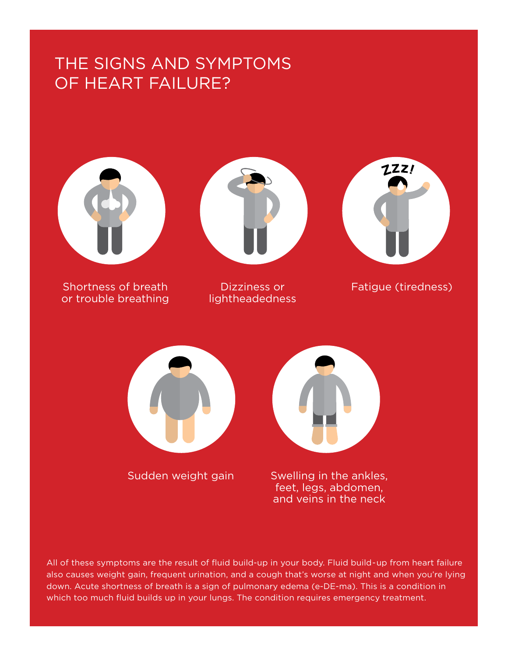## THE SIGNS AND SYMPTOMS OF HEART FAILURE?



Shortness of breath or trouble breathing



lightheadedness



Dizziness or Fatigue (tiredness)



Sudden weight gain

Swelling in the ankles, feet, legs, abdomen, and veins in the neck

All of these symptoms are the result of fluid build-up in your body. Fluid build-up from heart failure also causes weight gain, frequent urination, and a cough that's worse at night and when you're lying down. Acute shortness of breath is a sign of pulmonary edema (e-DE-ma). This is a condition in which too much fluid builds up in your lungs. The condition requires emergency treatment.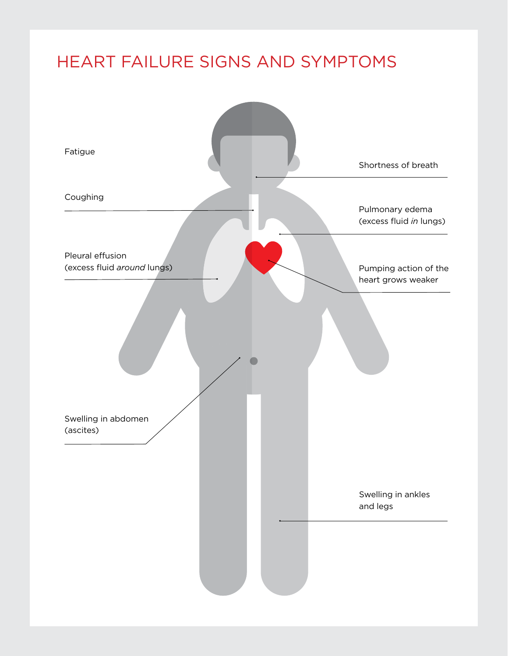## HEART FAILURE SIGNS AND SYMPTOMS

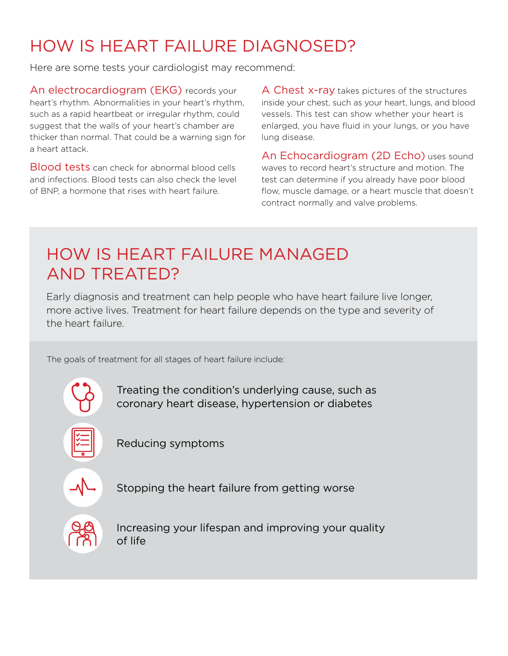## HOW IS HEART FAILURE DIAGNOSED?

Here are some tests your cardiologist may recommend:

An electrocardiogram (EKG) records your heart's rhythm. Abnormalities in your heart's rhythm, such as a rapid heartbeat or irregular rhythm, could suggest that the walls of your heart's chamber are thicker than normal. That could be a warning sign for a heart attack.

Blood tests can check for abnormal blood cells and infections. Blood tests can also check the level of BNP, a hormone that rises with heart failure.

A Chest x-ray takes pictures of the structures inside your chest, such as your heart, lungs, and blood vessels. This test can show whether your heart is enlarged, you have fluid in your lungs, or you have lung disease.

An Echocardiogram (2D Echo) uses sound waves to record heart's structure and motion. The test can determine if you already have poor blood flow, muscle damage, or a heart muscle that doesn't contract normally and valve problems.

## HOW IS HEART FAILURE MANAGED AND TREATED?

Early diagnosis and treatment can help people who have heart failure live longer, more active lives. Treatment for heart failure depends on the type and severity of the heart failure.

The goals of treatment for all stages of heart failure include:



Treating the condition's underlying cause, such as coronary heart disease, hypertension or diabetes



Reducing symptoms



Stopping the heart failure from getting worse



Increasing your lifespan and improving your quality of life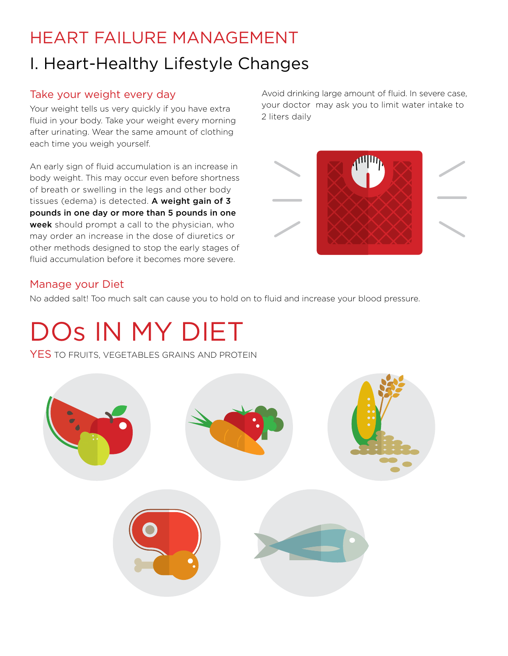## HEART FAILURE MANAGEMENT I. Heart-Healthy Lifestyle Changes

#### Take your weight every day

Your weight tells us very quickly if you have extra fluid in your body. Take your weight every morning after urinating. Wear the same amount of clothing each time you weigh yourself.

An early sign of fluid accumulation is an increase in body weight. This may occur even before shortness of breath or swelling in the legs and other body tissues (edema) is detected. A weight gain of 3 pounds in one day or more than 5 pounds in one week should prompt a call to the physician, who may order an increase in the dose of diuretics or other methods designed to stop the early stages of fluid accumulation before it becomes more severe.

Avoid drinking large amount of fluid. In severe case, your doctor may ask you to limit water intake to 2 liters daily



#### Manage your Diet

No added salt! Too much salt can cause you to hold on to fluid and increase your blood pressure.

## DOs IN MY DIET

**YES** TO FRUITS, VEGETABLES GRAINS AND PROTEIN

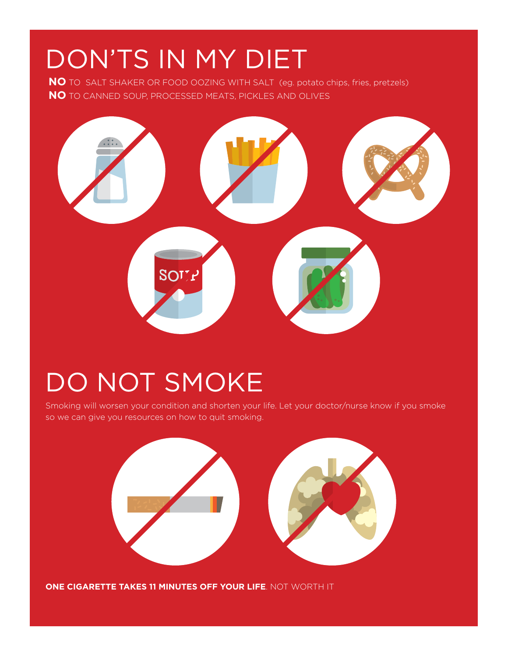## DON'TS IN MY DIET

**NO** TO SALT SHAKER OR FOOD OOZING WITH SALT (eg. potato chips, fries, pretzels) **NO** TO CANNED SOUP, PROCESSED MEATS, PICKLES AND OLIVES



## DO NOT SMOKE

Smoking will worsen your condition and shorten your life. Let your doctor/nurse know if you smoke so we can give you resources on how to quit smoking.



**ONE CIGARETTE TAKES 11 MINUTES OFF YOUR LIFE**. NOT WORTH IT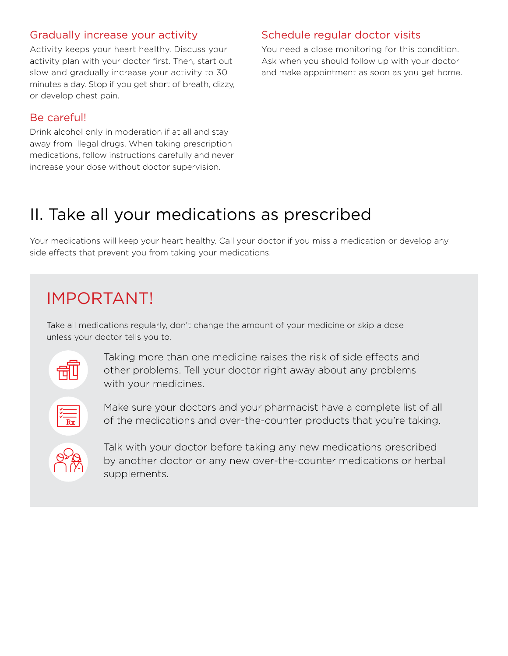#### Gradually increase your activity

Activity keeps your heart healthy. Discuss your activity plan with your doctor first. Then, start out slow and gradually increase your activity to 30 minutes a day. Stop if you get short of breath, dizzy, or develop chest pain.

#### Be careful!

Drink alcohol only in moderation if at all and stay away from illegal drugs. When taking prescription medications, follow instructions carefully and never increase your dose without doctor supervision.

#### Schedule regular doctor visits

You need a close monitoring for this condition. Ask when you should follow up with your doctor and make appointment as soon as you get home.

## II. Take all your medications as prescribed

Your medications will keep your heart healthy. Call your doctor if you miss a medication or develop any side effects that prevent you from taking your medications.

## IMPORTANT!

Take all medications regularly, don't change the amount of your medicine or skip a dose unless your doctor tells you to.



Taking more than one medicine raises the risk of side effects and other problems. Tell your doctor right away about any problems with your medicines.

Make sure your doctors and your pharmacist have a complete list of all of the medications and over-the-counter products that you're taking.

Talk with your doctor before taking any new medications prescribed by another doctor or any new over-the-counter medications or herbal supplements.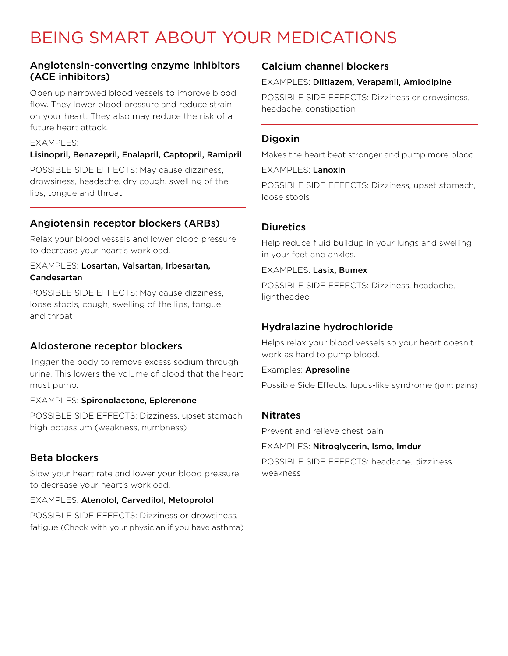## BEING SMART ABOUT YOUR MEDICATIONS

#### Angiotensin-converting enzyme inhibitors (ACE inhibitors)

Open up narrowed blood vessels to improve blood flow. They lower blood pressure and reduce strain on your heart. They also may reduce the risk of a future heart attack.

#### **FXAMPLES:**

#### Lisinopril, Benazepril, Enalapril, Captopril, Ramipril

POSSIBLE SIDE EFFECTS: May cause dizziness, drowsiness, headache, dry cough, swelling of the lips, tongue and throat

#### Angiotensin receptor blockers (ARBs)

Relax your blood vessels and lower blood pressure to decrease your heart's workload.

#### EXAMPLES: Losartan, Valsartan, Irbesartan, Candesartan

POSSIBLE SIDE EFFECTS: May cause dizziness, loose stools, cough, swelling of the lips, tongue and throat

#### Aldosterone receptor blockers

Trigger the body to remove excess sodium through urine. This lowers the volume of blood that the heart must pump.

#### EXAMPLES: Spironolactone, Eplerenone

POSSIBLE SIDE EFFECTS: Dizziness, upset stomach, high potassium (weakness, numbness)

#### Beta blockers

Slow your heart rate and lower your blood pressure to decrease your heart's workload.

#### EXAMPLES: Atenolol, Carvedilol, Metoprolol

POSSIBLE SIDE EFFECTS: Dizziness or drowsiness, fatigue (Check with your physician if you have asthma)

#### Calcium channel blockers

#### EXAMPLES: Diltiazem, Verapamil, Amlodipine

POSSIBLE SIDE EFFECTS: Dizziness or drowsiness, headache, constipation

#### **Digoxin**

Makes the heart beat stronger and pump more blood.

#### EXAMPLES: Lanoxin

POSSIBLE SIDE EFFECTS: Dizziness, upset stomach, loose stools

#### **Diuretics**

Help reduce fluid buildup in your lungs and swelling in your feet and ankles.

EXAMPLES: Lasix, Bumex

POSSIBLE SIDE EFFECTS: Dizziness, headache, lightheaded

#### Hydralazine hydrochloride

Helps relax your blood vessels so your heart doesn't work as hard to pump blood.

#### Examples: Apresoline

Possible Side Effects: lupus-like syndrome (joint pains)

#### **Nitrates**

Prevent and relieve chest pain

EXAMPLES: Nitroglycerin, Ismo, Imdur

POSSIBLE SIDE EFFECTS: headache, dizziness, weakness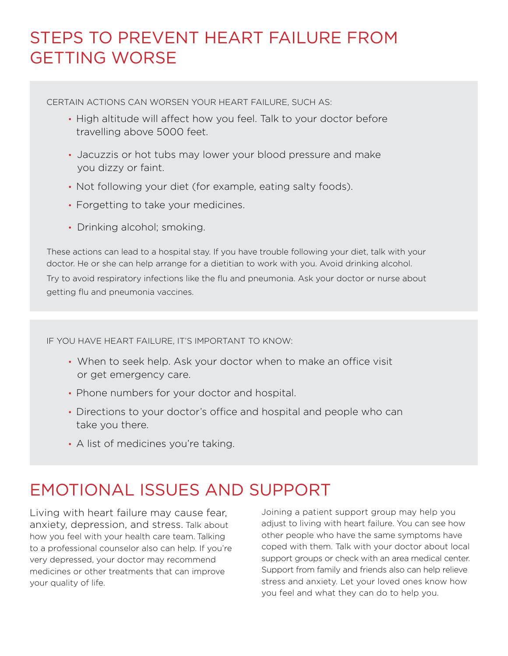## STEPS TO PREVENT HEART FAILURE FROM GETTING WORSE

CERTAIN ACTIONS CAN WORSEN YOUR HEART FAILURE, SUCH AS:

- High altitude will affect how you feel. Talk to your doctor before travelling above 5000 feet.
- Jacuzzis or hot tubs may lower your blood pressure and make you dizzy or faint.
- Not following your diet (for example, eating salty foods).
- Forgetting to take your medicines.
- Drinking alcohol; smoking.

These actions can lead to a hospital stay. If you have trouble following your diet, talk with your doctor. He or she can help arrange for a dietitian to work with you. Avoid drinking alcohol.

Try to avoid respiratory infections like the flu and pneumonia. Ask your doctor or nurse about getting flu and pneumonia vaccines.

IF YOU HAVE HEART FAILURE, IT'S IMPORTANT TO KNOW:

- When to seek help. Ask your doctor when to make an office visit or get emergency care.
- Phone numbers for your doctor and hospital.
- Directions to your doctor's office and hospital and people who can take you there.
- A list of medicines you're taking.

## EMOTIONAL ISSUES AND SUPPORT

Living with heart failure may cause fear, anxiety, depression, and stress. Talk about how you feel with your health care team. Talking to a professional counselor also can help. If you're very depressed, your doctor may recommend medicines or other treatments that can improve your quality of life.

Joining a patient support group may help you adjust to living with heart failure. You can see how other people who have the same symptoms have coped with them. Talk with your doctor about local support groups or check with an area medical center. Support from family and friends also can help relieve stress and anxiety. Let your loved ones know how you feel and what they can do to help you.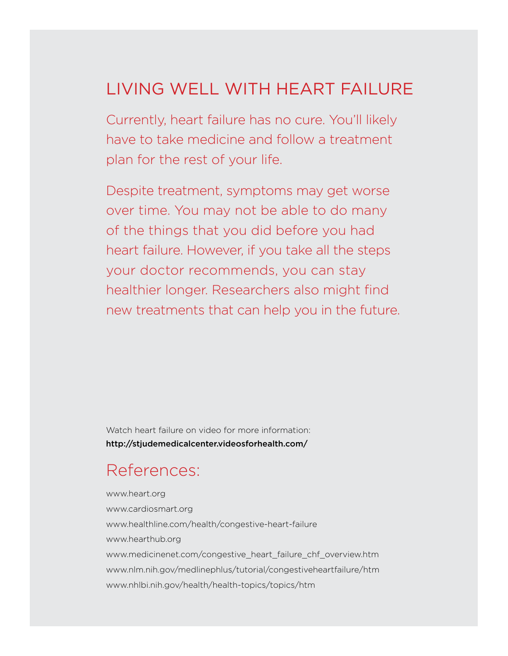### LIVING WELL WITH HEART FAILURE

Currently, heart failure has no cure. You'll likely have to take medicine and follow a treatment plan for the rest of your life.

Despite treatment, symptoms may get worse over time. You may not be able to do many of the things that you did before you had heart failure. However, if you take all the steps your doctor recommends, you can stay healthier longer. Researchers also might find new treatments that can help you in the future.

Watch heart failure on video for more information: http://stjudemedicalcenter.videosforhealth.com/

### References:

www.heart.org www.cardiosmart.org www.healthline.com/health/congestive-heart-failure www.hearthub.org www.medicinenet.com/congestive\_heart\_failure\_chf\_overview.htm www.nlm.nih.gov/medlinephlus/tutorial/congestiveheartfailure/htm www.nhlbi.nih.gov/health/health-topics/topics/htm